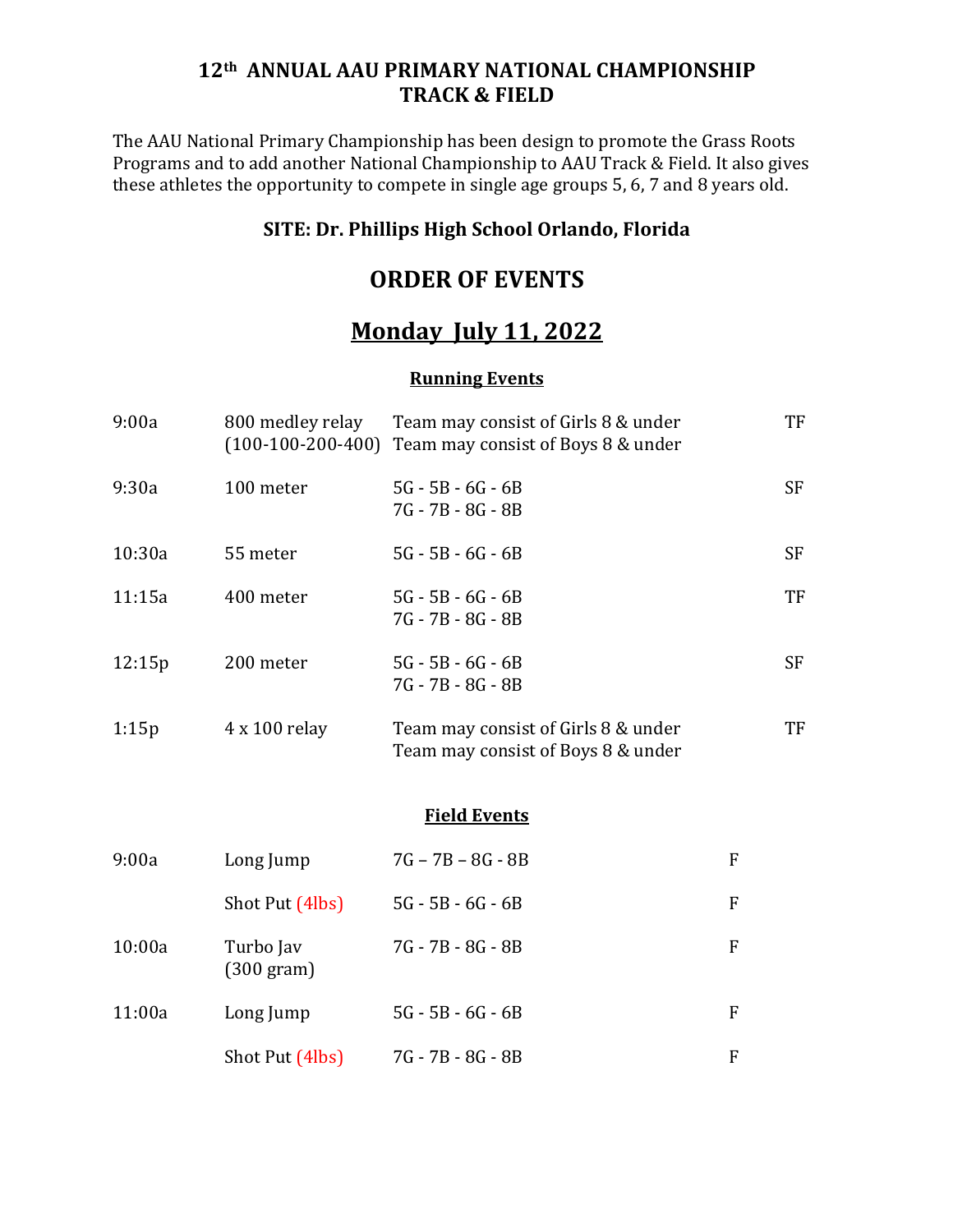### **12th ANNUAL AAU PRIMARY NATIONAL CHAMPIONSHIP TRACK & FIELD**

The AAU National Primary Championship has been design to promote the Grass Roots Programs and to add another National Championship to AAU Track & Field. It also gives these athletes the opportunity to compete in single age groups 5, 6, 7 and 8 years old.

### **SITE: Dr. Phillips High School Orlando, Florida**

## **ORDER OF EVENTS**

# **Monday July 11, 2022**

#### **Running Events**

| 9:00a  | 800 medley relay<br>$(100-100-200-400)$ | Team may consist of Girls 8 & under<br>Team may consist of Boys 8 & under |           | TF        |
|--------|-----------------------------------------|---------------------------------------------------------------------------|-----------|-----------|
| 9:30a  | 100 meter                               | $5G - 5B - 6G - 6B$<br>7G - 7B - 8G - 8B                                  |           | <b>SF</b> |
| 10:30a | 55 meter                                | $5G - 5B - 6G - 6B$                                                       |           | <b>SF</b> |
| 11:15a | 400 meter                               | $5G - 5B - 6G - 6B$<br>7G - 7B - 8G - 8B                                  |           | TF        |
| 12:15p | 200 meter                               | $5G - 5B - 6G - 6B$<br>7G - 7B - 8G - 8B                                  |           | <b>SF</b> |
| 1:15p  | 4 x 100 relay                           | Team may consist of Girls 8 & under<br>Team may consist of Boys 8 & under |           | TF        |
|        |                                         | <b>Field Events</b>                                                       |           |           |
| 9:00a  | Long Jump                               | $7G - 7B - 8G - 8B$                                                       | ${\bf F}$ |           |
|        | Shot Put (4lbs)                         | $5G - 5B - 6G - 6B$                                                       | F         |           |
| 10:00a | Turbo Jav<br>$(300 \text{ gram})$       | 7G - 7B - 8G - 8B                                                         | F         |           |
| 11:00a | Long Jump                               | $5G - 5B - 6G - 6B$                                                       | F         |           |
|        | Shot Put (4lbs)                         | 7G - 7B - 8G - 8B                                                         | ${\bf F}$ |           |